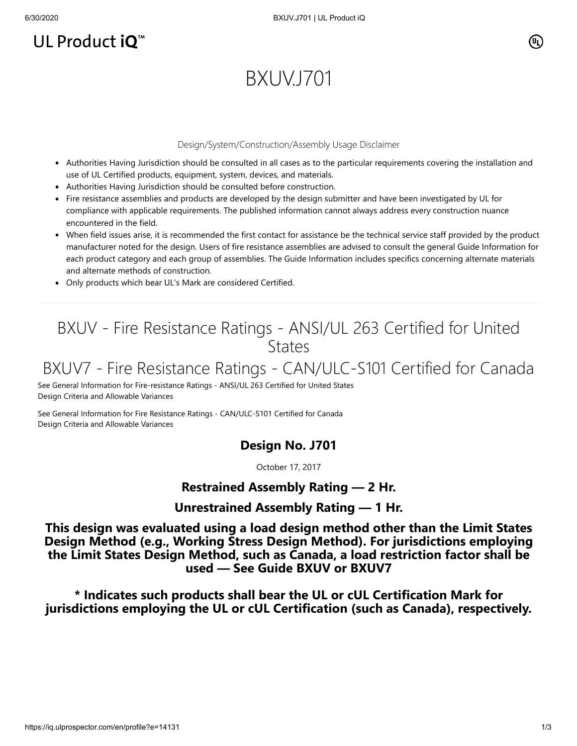## UL Product iQ<sup>™</sup>

# BXUV.J701

#### Design/System/Construction/Assembly Usage Disclaimer

- Authorities Having Jurisdiction should be consulted in all cases as to the particular requirements covering the installation and use of UL Certified products, equipment, system, devices, and materials.
- Authorities Having Jurisdiction should be consulted before construction.
- Fire resistance assemblies and products are developed by the design submitter and have been investigated by UL for compliance with applicable requirements. The published information cannot always address every construction nuance encountered in the field.
- When field issues arise, it is recommended the first contact for assistance be the technical service staff provided by the product manufacturer noted for the design. Users of fire resistance assemblies are advised to consult the general Guide Information for each product category and each group of assemblies. The Guide Information includes specifics concerning alternate materials and alternate methods of construction.
- Only products which bear UL's Mark are considered Certified.

## BXUV - Fire Resistance Ratings - ANSI/UL 263 Certified for United **States**

## BXUV7 - Fire Resistance Ratings - CAN/ULC-S101 Certified for Canada

[See General Information for Fire-resistance Ratings - ANSI/UL 263 Certified for United States](https://iq.ulprospector.com/cgi-bin/XYV/template/LISEXT/1FRAME/showpage.html?name=BXUV.GuideInfo&ccnshorttitle=Fire-resistance+Ratings+-+ANSI/UL+263&objid=1074327030&cfgid=1073741824&version=versionless&parent_id=1073984818&sequence=1) Design Criteria and Allowable Variances

[See General Information for Fire Resistance Ratings - CAN/ULC-S101 Certified for Canada](https://iq.ulprospector.com/cgi-bin/XYV/template/LISEXT/1FRAME/showpage.html?name=BXUV7.GuideInfo&ccnshorttitle=Fire+Resistance+Ratings+-+CAN/ULC-S101+Certified+for+Canada&objid=1074205658&cfgid=1073741824&version=versionless&parent_id=1073984820&sequence=1) Design Criteria and Allowable Variances

## **Design No. J701**

October 17, 2017

## **Restrained Assembly Rating — 2 Hr.**

#### **Unrestrained Assembly Rating — 1 Hr.**

**This design was evaluated using a load design method other than the Limit States Design Method (e.g., Working Stress Design Method). For jurisdictions employing the Limit States Design Method, such as Canada, a load restriction factor shall be used — See Guide [BXUV](http://database.ul.com/cgi-bin/XYV/template/LISEXT/1FRAME/showpage.html?name=BXUV.GuideInfo&ccnshorttitle=Fire-resistance+Ratings+-+ANSI/UL+263&objid=1074327030&cfgid=1073741824&version=versionless&parent_id=1073984818&sequence=1) or [BXUV7](http://database.ul.com/cgi-bin/XYV/template/LISEXT/1FRAME/showpage.html?name=BXUV7.GuideInfo&ccnshorttitle=Fire+Resistance+Ratings+-+CAN/ULC-S101M+Certified+for+Canada&objid=1074205658&cfgid=1073741824&version=versionless&parent_id=1073984820&sequence=1)**

**\* Indicates such products shall bear the UL or cUL Certification Mark for jurisdictions employing the UL or cUL Certification (such as Canada), respectively.**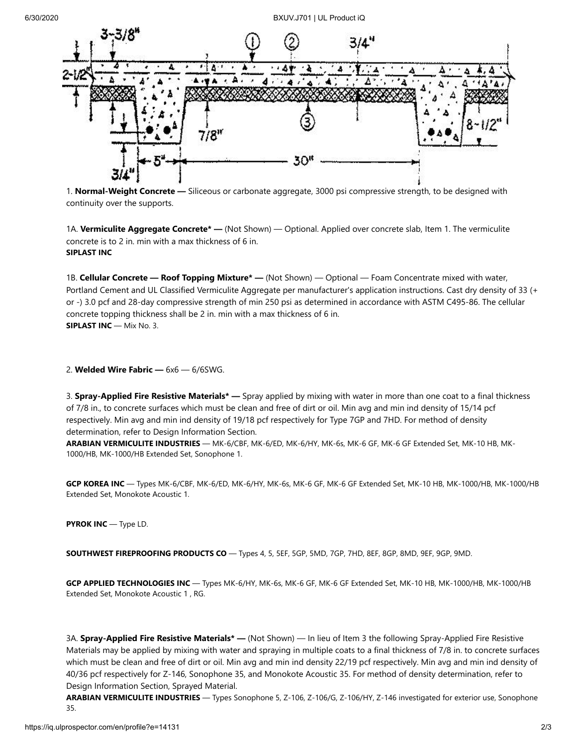

1. **Normal-Weight Concrete —** Siliceous or carbonate aggregate, 3000 psi compressive strength, to be designed with continuity over the supports.

1A. **Vermiculite Aggregate Concrete\* —** (Not Shown) — Optional. Applied over concrete slab, Item 1. The vermiculite concrete is to 2 in. min with a max thickness of 6 in. **SIPLAST INC**

1B. **Cellular Concrete — Roof Topping Mixture\* —** (Not Shown) — Optional — Foam Concentrate mixed with water, Portland Cement and UL Classified Vermiculite Aggregate per manufacturer's application instructions. Cast dry density of 33 (+ or -) 3.0 pcf and 28-day compressive strength of min 250 psi as determined in accordance with ASTM C495-86. The cellular concrete topping thickness shall be 2 in. min with a max thickness of 6 in. **SIPLAST INC** — Mix No. 3.

2. **Welded Wire Fabric —** 6x6 — 6/6SWG.

3. **Spray-Applied Fire Resistive Materials\* —** Spray applied by mixing with water in more than one coat to a final thickness of 7/8 in., to concrete surfaces which must be clean and free of dirt or oil. Min avg and min ind density of 15/14 pcf respectively. Min avg and min ind density of 19/18 pcf respectively for Type 7GP and 7HD. For method of density determination, refer to Design Information Section.

**ARABIAN VERMICULITE INDUSTRIES** — MK-6/CBF, MK-6/ED, MK-6/HY, MK-6s, MK-6 GF, MK-6 GF Extended Set, MK-10 HB, MK-1000/HB, MK-1000/HB Extended Set, Sonophone 1.

**GCP KOREA INC** — Types MK-6/CBF, MK-6/ED, MK-6/HY, MK-6s, MK-6 GF, MK-6 GF Extended Set, MK-10 HB, MK-1000/HB, MK-1000/HB Extended Set, Monokote Acoustic 1.

**PYROK INC** — Type LD.

**SOUTHWEST FIREPROOFING PRODUCTS CO** — Types 4, 5, 5EF, 5GP, 5MD, 7GP, 7HD, 8EF, 8GP, 8MD, 9EF, 9GP, 9MD.

**GCP APPLIED TECHNOLOGIES INC** — Types MK-6/HY, MK-6s, MK-6 GF, MK-6 GF Extended Set, MK-10 HB, MK-1000/HB, MK-1000/HB Extended Set, Monokote Acoustic 1 , RG.

3A. **Spray-Applied Fire Resistive Materials\* —** (Not Shown) — In lieu of Item 3 the following Spray-Applied Fire Resistive Materials may be applied by mixing with water and spraying in multiple coats to a final thickness of 7/8 in. to concrete surfaces which must be clean and free of dirt or oil. Min avg and min ind density 22/19 pcf respectively. Min avg and min ind density of 40/36 pcf respectively for Z-146, Sonophone 35, and Monokote Acoustic 35. For method of density determination, refer to Design Information Section, Sprayed Material.

**ARABIAN VERMICULITE INDUSTRIES** — Types Sonophone 5, Z-106, Z-106/G, Z-106/HY, Z-146 investigated for exterior use, Sonophone 35.